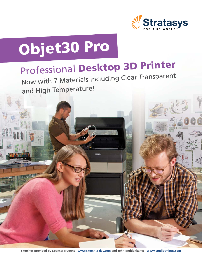

# Objet30 Pro

## Professional Desktop 3D Printer

Now with 7 Materials including Clear Transparen<sup>t</sup> and High Temperature!

**Sketches provided by Spencer Nugent - www.sketch-a-day.com and John Muhlenkamp - www.studiotminus.com**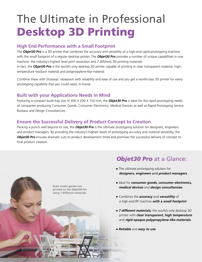## The Ultimate in Professional Desktop 3D Printing

### **High End Performance with a Small Footprint**

The *Objet30 Pro* is a 3D printer that combines the accuracy and versatility of a high-end rapid prototyping machine with the small footprint of a regular desktop printer. The *Objet30 Pro* provides a number of unique capabilities in one machine: the industry's highest level print resolution and 7 different 3D printing materials.

In fact, the *Objet30 Pro* is the world's only desktop 3D printer capable of printing in clear transparent material, hightemperature resistant material and polypropylene-like material.

Combine these with Stratasys' obsession with reliability and ease of use and you get a world-class 3D printer for every prototyping capability that you could need, in-house.

## **Built with your Applications Needs in Mind**

Featuring a compact build tray size of 300 X 200 X 150 mm, the *Objet30 Pro* is ideal for the rapid prototyping needs of companies producing Consumer Goods, Consumer Electronics, Medical Devices as well as Rapid Prototyping Service Bureaus and Design Consultancies.

## **Ensure the Successful Delivery of Product Concept to Creation**

Packing a punch well beyond its size, the *Objet30 Pro* is the ultimate prototyping solution for designers, engineers and product managers. By providing the industry's highest levels of prototyping accuracy and material versatility, the *Objet30 Pro* ensures dramatic cuts to product development times and promises the successful delivery of concept to final product creation.



## *Objet30 Pro* at a Glance:

- The ultimate prototyping solution for *designers, engineers* and *product managers*
- Ideal for *consumer goods, consumer electronics, medical devices* and *design consultancies*
- Combines the *accuracy* and *versatility* of a high-end RP machine *with a small footprint*
- *7 different materials;* the world's only desktop 3D printer with *clear transparent, high temperature* and *rigid opaque polypropylene-like materials.*
- *Reliable* and *easy to use*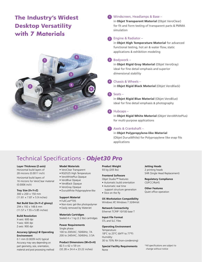## The Industry's Widest Desktop Versatility **with 7 Materials**



#### Windscreen, Headlamps & Base – **1**

in Objet Transparent Material (Objet VeroClear) for fit and form testing of transparent parts & PMMA simulation

#### Engine & Radiator – **2**

in Objet High Temperature Material for advanced functional testing, hot air & water flow, static applications & exhibition modeling

#### Bodywork – **3**

in Objet Rigid Gray Material (Objet VeroGray) ideal for fine detail emphasis and superior dimensional stability

#### Chassis & Wheels – **4**

in Objet Rigid Black Material (Objet VeroBlack)

#### Seats – **5**

in Objet Rigid Blue Material (Objet VeroBlue) ideal for fine detail emphasis & photography

#### Hubcaps – **6**

in Objet Rigid White Material (Objet VeroWhitePlus) for multi-purpose applications

#### Axels & Crankshaft – **7**

in Objet Polypropylene-like Material (Objet DurusWhite) for Polypropylene like snap fits applications

## Technical Specifications - *Objet30 Pro*

#### **Layer Thickness (Z-axis)**

Horizontal build layers of 28 microns (0.0011 inch)

Horizontal build layers of 16 microns for VeroClear material (0.0006 inch)

#### **Tray Size (X×Y×Z)**

300 × 200 × 150 mm  $(11.81 \times 7.87 \times 5.9 \text{ inches})$ 

#### **Net Build Size (X×Y×Z glossy)**

294 x 192 x 148.6 mm (11.57 x 7.55 x 5.85 inches)

#### **Build Resolution**

X-axis: 600 dpi Y-axis: 600 dpi Z-axis: 900 dpi

#### **Accuracy (glossy) @ Operating Environment**

0.1 mm (0.0039 inch) typical Accuracy may vary depending on part geometry, size, orientation, material and post processing method

#### **Model Materials**

- VeroClear Transparent
- RGD525 High Temperature
- VeroWhitePlus Opaque
- VeroBlue Opaque
- VeroBlack Opaque
- VeroGray Opaque
- DurusWhite Polypropylene-like

#### **Support Material**

- FullCure®705
- Non-toxic gel-like photopolymer
- Easily removed by WaterJet

#### **Materials Cartridges**

Sealed 4 x 1 kg (2.2 Ibs) cartridges

#### **Power Requirements**

Single phase: 100 to 200VAC; 50/60Hz; 7A 200 to 240VAC; 50/60Hz; 3.5A

#### **Product Dimensions (W×D×H)**

 $82.5 \times 62 \times 59$  cm (32.28 × 24.4 × 23.22 inches)

#### **Product Weight** 93 kg (205 lbs)

**Frontend Software**

#### Objet Studio™ features:

- Automatic build orientation
- Automatic real time
- support structure generation • Slice on the fly
- 

#### **OS Workstation Compatibility**

Windows XP, Windows 7 32/64-bit

#### **Network Connectivity**

Ethernet TCP/IP 10/100 base T

#### **Input File Format** STL and SLC Files

#### **Operating Environment**

Temperature: 18°C to 25°C (64°F to 77°F) Humidity: 30 to 70% RH (non-condensing)

**Special Facility Requirements** None

**Jetting Heads** 2 printing heads SHR (Single Head Replacement)

#### **Regulatory Compliance** CE/FCC/RoHS

#### **Other Features** Quiet office operation

\*All specifications are subject to change without notice